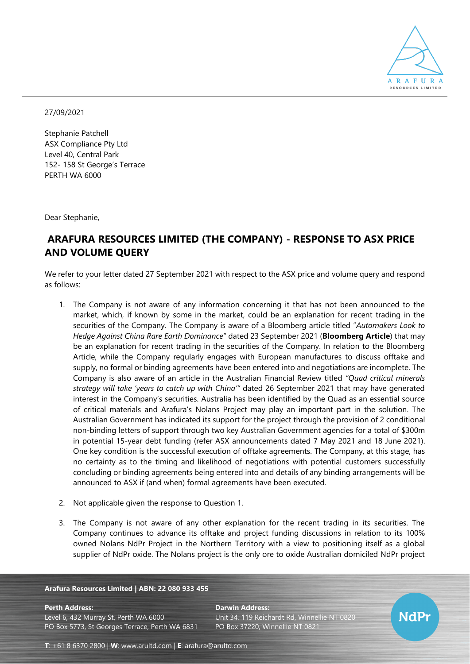

27/09/2021

Stephanie Patchell ASX Compliance Pty Ltd Level 40, Central Park 152- 158 St George's Terrace PERTH WA 6000

Dear Stephanie,

# **ARAFURA RESOURCES LIMITED (THE COMPANY) - RESPONSE TO ASX PRICE AND VOLUME QUERY**

We refer to your letter dated 27 September 2021 with respect to the ASX price and volume query and respond as follows:

- 1. The Company is not aware of any information concerning it that has not been announced to the market, which, if known by some in the market, could be an explanation for recent trading in the securities of the Company. The Company is aware of a Bloomberg article titled "*Automakers Look to Hedge Against China Rare Earth Dominance*" dated 23 September 2021 (**Bloomberg Article**) that may be an explanation for recent trading in the securities of the Company. In relation to the Bloomberg Article, while the Company regularly engages with European manufactures to discuss offtake and supply, no formal or binding agreements have been entered into and negotiations are incomplete. The Company is also aware of an article in the Australian Financial Review titled *"Quad critical minerals strategy will take 'years to catch up with China'"* dated 26 September 2021 that may have generated interest in the Company's securities. Australia has been identified by the Quad as an essential source of critical materials and Arafura's Nolans Project may play an important part in the solution. The Australian Government has indicated its support for the project through the provision of 2 conditional non-binding letters of support through two key Australian Government agencies for a total of \$300m in potential 15-year debt funding (refer ASX announcements dated 7 May 2021 and 18 June 2021). One key condition is the successful execution of offtake agreements. The Company, at this stage, has no certainty as to the timing and likelihood of negotiations with potential customers successfully concluding or binding agreements being entered into and details of any binding arrangements will be announced to ASX if (and when) formal agreements have been executed.
- 2. Not applicable given the response to Question 1.
- 3. The Company is not aware of any other explanation for the recent trading in its securities. The Company continues to advance its offtake and project funding discussions in relation to its 100% owned Nolans NdPr Project in the Northern Territory with a view to positioning itself as a global supplier of NdPr oxide. The Nolans project is the only ore to oxide Australian domiciled NdPr project

### **Arafura Resources Limited | ABN: 22 080 933 455**

**Perth Address: Darwin Address:**

Level 6, 432 Murray St, Perth WA 6000 Unit 34, 119 Reichardt Rd, Winnellie NT 0820 PO Box 5773, St Georges Terrace, Perth WA 6831 PO Box 37220, Winnellie NT 0821



**T**: +61 8 6370 2800 | **W**: [www.arultd.com](http://www.arultd.com/) | **E**: [arafura@arultd.com](mailto:arafura@arultd.com)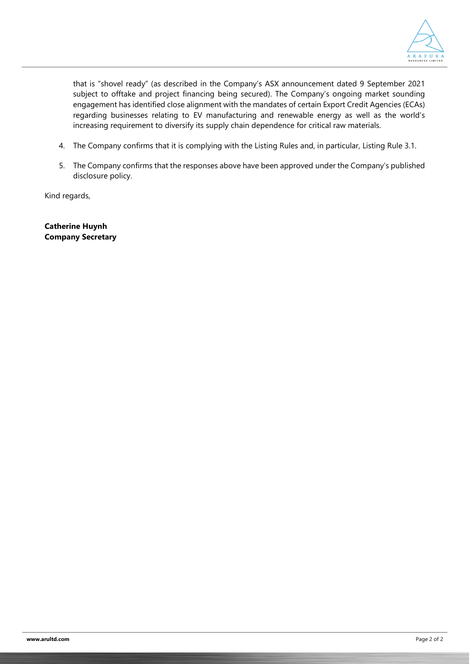

that is "shovel ready" (as described in the Company's ASX announcement dated 9 September 2021 subject to offtake and project financing being secured). The Company's ongoing market sounding engagement has identified close alignment with the mandates of certain Export Credit Agencies (ECAs) regarding businesses relating to EV manufacturing and renewable energy as well as the world's increasing requirement to diversify its supply chain dependence for critical raw materials.

- 4. The Company confirms that it is complying with the Listing Rules and, in particular, Listing Rule 3.1.
- 5. The Company confirms that the responses above have been approved under the Company's published disclosure policy.

Kind regards,

**Catherine Huynh Company Secretary**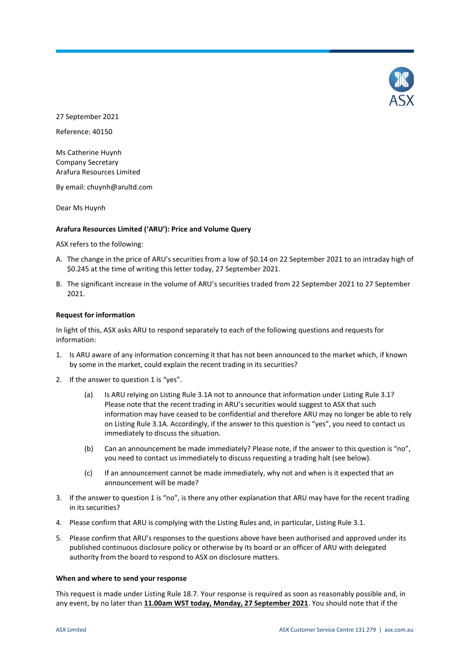

27 September 2021

Reference: 40150

Ms Catherine Huynh Company Secretary Arafura Resources Limited

By email: chuynh@arultd.com

Dear Ms Huynh

## **Arafura Resources Limited ('ARU'): Price and Volume Query**

ASX refers to the following:

- A. The change in the price of ARU's securities from a low of \$0.14 on 22 September 2021 to an intraday high of \$0.245 at the time of writing this letter today, 27 September 2021.
- B. The significant increase in the volume of ARU's securities traded from 22 September 2021 to 27 September 2021.

## **Request for information**

In light of this, ASX asks ARU to respond separately to each of the following questions and requests for information:

- 1. Is ARU aware of any information concerning it that has not been announced to the market which, if known by some in the market, could explain the recent trading in its securities?
- 2. If the answer to question 1 is "yes".
	- (a) Is ARU relying on Listing Rule 3.1A not to announce that information under Listing Rule 3.1? Please note that the recent trading in ARU's securities would suggest to ASX that such information may have ceased to be confidential and therefore ARU may no longer be able to rely on Listing Rule 3.1A. Accordingly, if the answer to this question is "yes", you need to contact us immediately to discuss the situation.
	- (b) Can an announcement be made immediately? Please note, if the answer to this question is "no", you need to contact us immediately to discuss requesting a trading halt (see below).
	- (c) If an announcement cannot be made immediately, why not and when is it expected that an announcement will be made?
- 3. If the answer to question 1 is "no", is there any other explanation that ARU may have for the recent trading in its securities?
- 4. Please confirm that ARU is complying with the Listing Rules and, in particular, Listing Rule 3.1.
- 5. Please confirm that ARU's responses to the questions above have been authorised and approved under its published continuous disclosure policy or otherwise by its board or an officer of ARU with delegated authority from the board to respond to ASX on disclosure matters.

### **When and where to send your response**

This request is made under Listing Rule 18.7. Your response is required as soon as reasonably possible and, in any event, by no later than **11.00am WST today, Monday, 27 September 2021**. You should note that if the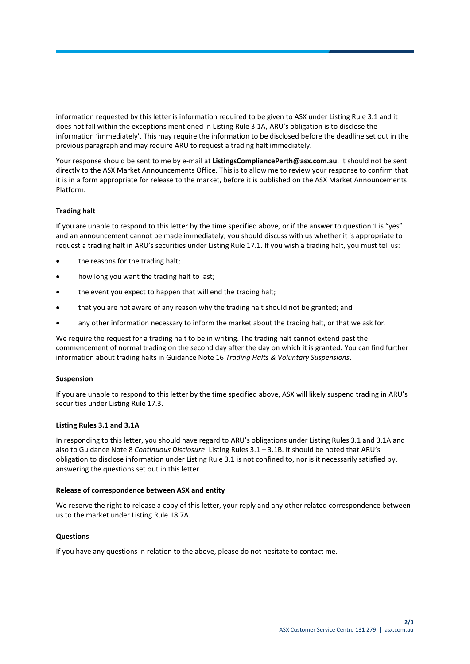information requested by this letter is information required to be given to ASX under Listing Rule 3.1 and it does not fall within the exceptions mentioned in Listing Rule 3.1A, ARU's obligation is to disclose the information 'immediately'. This may require the information to be disclosed before the deadline set out in the previous paragraph and may require ARU to request a trading halt immediately.

Your response should be sent to me by e-mail at **ListingsCompliancePerth@asx.com.au**. It should not be sent directly to the ASX Market Announcements Office. This is to allow me to review your response to confirm that it is in a form appropriate for release to the market, before it is published on the ASX Market Announcements Platform.

# **Trading halt**

If you are unable to respond to this letter by the time specified above, or if the answer to question 1 is "yes" and an announcement cannot be made immediately, you should discuss with us whether it is appropriate to request a trading halt in ARU's securities under Listing Rule 17.1. If you wish a trading halt, you must tell us:

- the reasons for the trading halt;
- how long you want the trading halt to last;
- the event you expect to happen that will end the trading halt;
- that you are not aware of any reason why the trading halt should not be granted; and
- any other information necessary to inform the market about the trading halt, or that we ask for.

We require the request for a trading halt to be in writing. The trading halt cannot extend past the commencement of normal trading on the second day after the day on which it is granted. You can find further information about trading halts in Guidance Note 16 *Trading Halts & Voluntary Suspensions*.

## **Suspension**

If you are unable to respond to this letter by the time specified above, ASX will likely suspend trading in ARU's securities under Listing Rule 17.3.

## **Listing Rules 3.1 and 3.1A**

In responding to this letter, you should have regard to ARU's obligations under Listing Rules 3.1 and 3.1A and also to Guidance Note 8 *Continuous Disclosure*: Listing Rules 3.1 – 3.1B. It should be noted that ARU's obligation to disclose information under Listing Rule 3.1 is not confined to, nor is it necessarily satisfied by, answering the questions set out in this letter.

## **Release of correspondence between ASX and entity**

We reserve the right to release a copy of this letter, your reply and any other related correspondence between us to the market under Listing Rule 18.7A.

## **Questions**

If you have any questions in relation to the above, please do not hesitate to contact me.